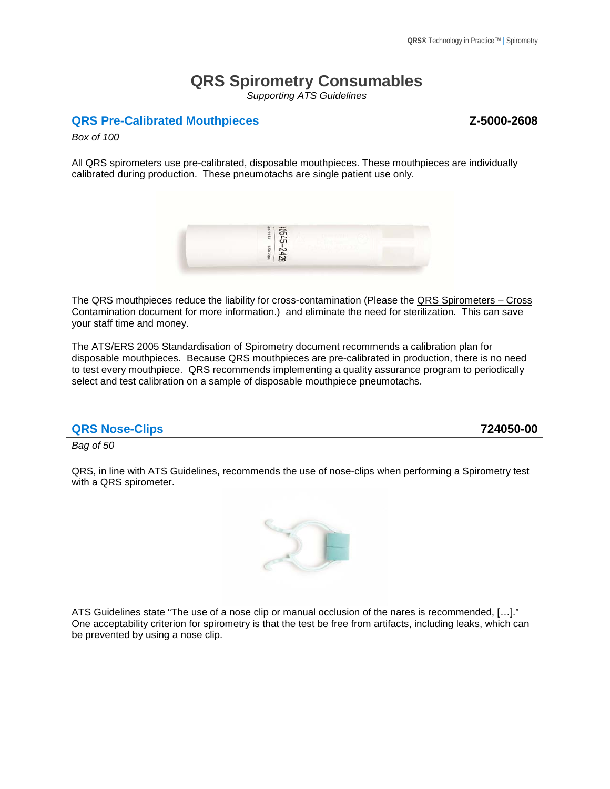# **QRS Spirometry Consumables**

*Supporting ATS Guidelines*

### **QRS Pre-Calibrated Mouthpieces** *Z-5000-2608*

*Box of 100*

All QRS spirometers use pre-calibrated, disposable mouthpieces. These mouthpieces are individually calibrated during production. These pneumotachs are single patient use only.



The QRS mouthpieces reduce the liability for cross-contamination (Please the QRS Spirometers - Cross Contamination document for more information.) and eliminate the need for sterilization. This can save your staff time and money.

The ATS/ERS 2005 Standardisation of Spirometry document recommends a calibration plan for disposable mouthpieces. Because QRS mouthpieces are pre-calibrated in production, there is no need to test every mouthpiece. QRS recommends implementing a quality assurance program to periodically select and test calibration on a sample of disposable mouthpiece pneumotachs.

#### **QRS Nose-Clips 724050-00**

*Bag of 50*

QRS, in line with ATS Guidelines, recommends the use of nose-clips when performing a Spirometry test with a QRS spirometer.



ATS Guidelines state "The use of a nose clip or manual occlusion of the nares is recommended, […]." One acceptability criterion for spirometry is that the test be free from artifacts, including leaks, which can be prevented by using a nose clip.